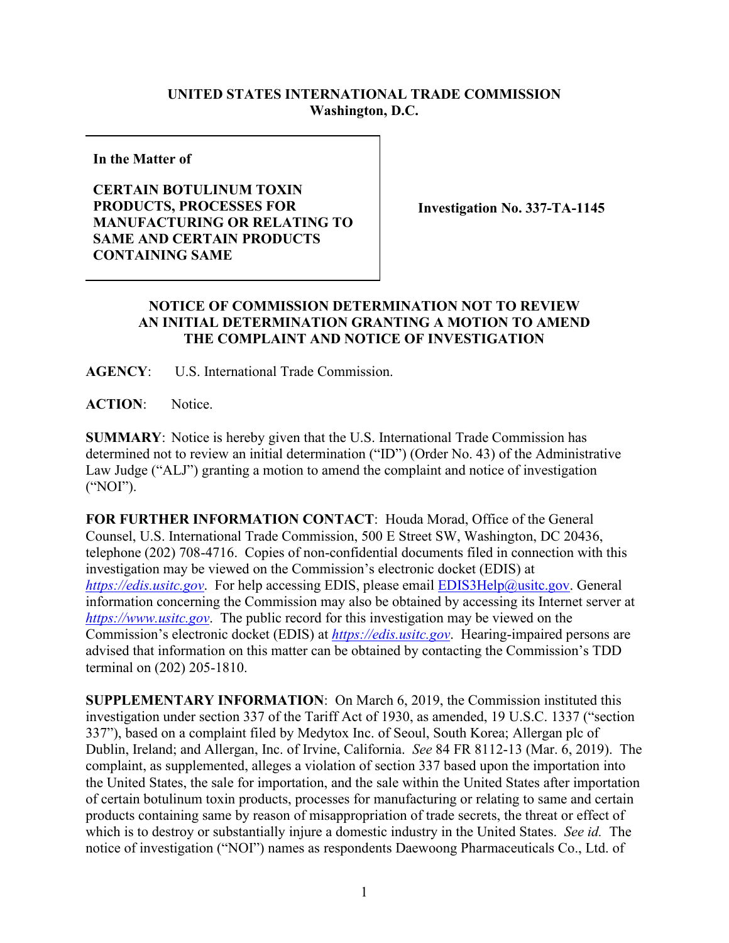## **UNITED STATES INTERNATIONAL TRADE COMMISSION Washington, D.C.**

**In the Matter of**

## **CERTAIN BOTULINUM TOXIN PRODUCTS, PROCESSES FOR MANUFACTURING OR RELATING TO SAME AND CERTAIN PRODUCTS CONTAINING SAME**

**Investigation No. 337-TA-1145**

## **NOTICE OF COMMISSION DETERMINATION NOT TO REVIEW AN INITIAL DETERMINATION GRANTING A MOTION TO AMEND THE COMPLAINT AND NOTICE OF INVESTIGATION**

**AGENCY**: U.S. International Trade Commission.

**ACTION**: Notice.

**SUMMARY**: Notice is hereby given that the U.S. International Trade Commission has determined not to review an initial determination ("ID") (Order No. 43) of the Administrative Law Judge ("ALJ") granting a motion to amend the complaint and notice of investigation ("NOI").

**FOR FURTHER INFORMATION CONTACT**: Houda Morad, Office of the General Counsel, U.S. International Trade Commission, 500 E Street SW, Washington, DC 20436, telephone (202) 708-4716. Copies of non-confidential documents filed in connection with this investigation may be viewed on the Commission's electronic docket (EDIS) at *[https://edis.usitc.gov](https://edis.usitc.gov/)*. For help accessing EDIS, please email [EDIS3Help@usitc.gov.](mailto:EDIS3Help@usitc.gov) General information concerning the Commission may also be obtained by accessing its Internet server at *[https://www.usitc.gov](https://www.usitc.gov/)*. The public record for this investigation may be viewed on the Commission's electronic docket (EDIS) at *[https://edis.usitc.gov](https://edis.usitc.gov/)*. Hearing-impaired persons are advised that information on this matter can be obtained by contacting the Commission's TDD terminal on (202) 205-1810.

**SUPPLEMENTARY INFORMATION**: On March 6, 2019, the Commission instituted this investigation under section 337 of the Tariff Act of 1930, as amended, 19 U.S.C. 1337 ("section 337"), based on a complaint filed by Medytox Inc. of Seoul, South Korea; Allergan plc of Dublin, Ireland; and Allergan, Inc. of Irvine, California. *See* 84 FR 8112-13 (Mar. 6, 2019). The complaint, as supplemented, alleges a violation of section 337 based upon the importation into the United States, the sale for importation, and the sale within the United States after importation of certain botulinum toxin products, processes for manufacturing or relating to same and certain products containing same by reason of misappropriation of trade secrets, the threat or effect of which is to destroy or substantially injure a domestic industry in the United States. *See id.* The notice of investigation ("NOI") names as respondents Daewoong Pharmaceuticals Co., Ltd. of